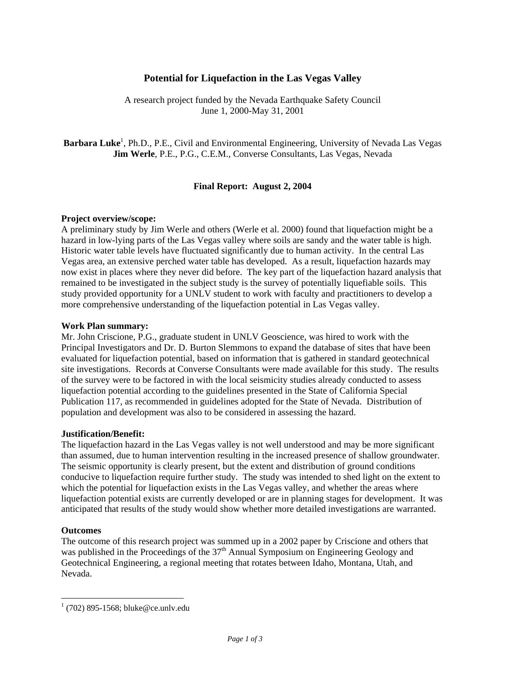# **Potential for Liquefaction in the Las Vegas Valley**

A research project funded by the Nevada Earthquake Safety Council June 1, 2000-May 31, 2001

Barbara Luke<sup>1</sup>, Ph.D., P.E., Civil and Environmental Engineering, University of Nevada Las Vegas **Jim Werle**, P.E., P.G., C.E.M., Converse Consultants, Las Vegas, Nevada

## **Final Report: August 2, 2004**

## **Project overview/scope:**

A preliminary study by Jim Werle and others (Werle et al. 2000) found that liquefaction might be a hazard in low-lying parts of the Las Vegas valley where soils are sandy and the water table is high. Historic water table levels have fluctuated significantly due to human activity. In the central Las Vegas area, an extensive perched water table has developed. As a result, liquefaction hazards may now exist in places where they never did before. The key part of the liquefaction hazard analysis that remained to be investigated in the subject study is the survey of potentially liquefiable soils. This study provided opportunity for a UNLV student to work with faculty and practitioners to develop a more comprehensive understanding of the liquefaction potential in Las Vegas valley.

#### **Work Plan summary:**

Mr. John Criscione, P.G., graduate student in UNLV Geoscience, was hired to work with the Principal Investigators and Dr. D. Burton Slemmons to expand the database of sites that have been evaluated for liquefaction potential, based on information that is gathered in standard geotechnical site investigations. Records at Converse Consultants were made available for this study. The results of the survey were to be factored in with the local seismicity studies already conducted to assess liquefaction potential according to the guidelines presented in the State of California Special Publication 117, as recommended in guidelines adopted for the State of Nevada. Distribution of population and development was also to be considered in assessing the hazard.

#### **Justification/Benefit:**

The liquefaction hazard in the Las Vegas valley is not well understood and may be more significant than assumed, due to human intervention resulting in the increased presence of shallow groundwater. The seismic opportunity is clearly present, but the extent and distribution of ground conditions conducive to liquefaction require further study. The study was intended to shed light on the extent to which the potential for liquefaction exists in the Las Vegas valley, and whether the areas where liquefaction potential exists are currently developed or are in planning stages for development. It was anticipated that results of the study would show whether more detailed investigations are warranted.

# **Outcomes**

 $\overline{a}$ 

The outcome of this research project was summed up in a 2002 paper by Criscione and others that was published in the Proceedings of the 37<sup>th</sup> Annual Symposium on Engineering Geology and Geotechnical Engineering, a regional meeting that rotates between Idaho, Montana, Utah, and Nevada.

 $1(702)$  895-1568; bluke@ce.unlv.edu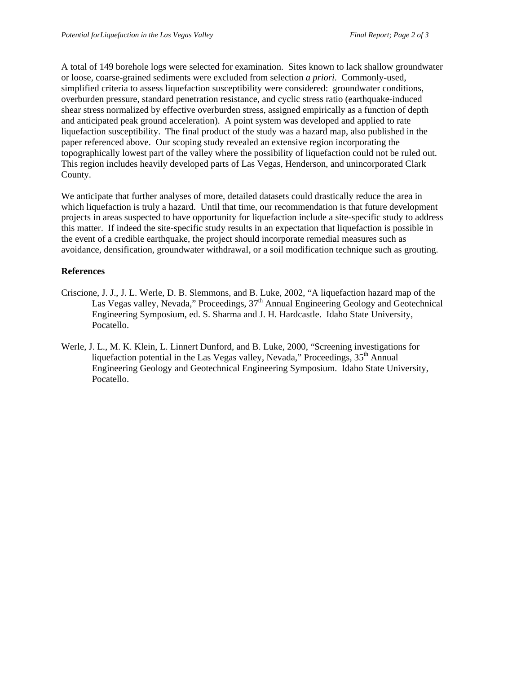A total of 149 borehole logs were selected for examination. Sites known to lack shallow groundwater or loose, coarse-grained sediments were excluded from selection *a priori*. Commonly-used, simplified criteria to assess liquefaction susceptibility were considered: groundwater conditions, overburden pressure, standard penetration resistance, and cyclic stress ratio (earthquake-induced shear stress normalized by effective overburden stress, assigned empirically as a function of depth and anticipated peak ground acceleration). A point system was developed and applied to rate liquefaction susceptibility. The final product of the study was a hazard map, also published in the paper referenced above. Our scoping study revealed an extensive region incorporating the topographically lowest part of the valley where the possibility of liquefaction could not be ruled out. This region includes heavily developed parts of Las Vegas, Henderson, and unincorporated Clark County.

We anticipate that further analyses of more, detailed datasets could drastically reduce the area in which liquefaction is truly a hazard. Until that time, our recommendation is that future development projects in areas suspected to have opportunity for liquefaction include a site-specific study to address this matter. If indeed the site-specific study results in an expectation that liquefaction is possible in the event of a credible earthquake, the project should incorporate remedial measures such as avoidance, densification, groundwater withdrawal, or a soil modification technique such as grouting.

# **References**

- Criscione, J. J., J. L. Werle, D. B. Slemmons, and B. Luke, 2002, "A liquefaction hazard map of the Las Vegas valley, Nevada," Proceedings,  $37<sup>th</sup>$  Annual Engineering Geology and Geotechnical Engineering Symposium, ed. S. Sharma and J. H. Hardcastle. Idaho State University, Pocatello.
- Werle, J. L., M. K. Klein, L. Linnert Dunford, and B. Luke, 2000, "Screening investigations for liquefaction potential in the Las Vegas valley, Nevada," Proceedings,  $35<sup>th</sup>$  Annual Engineering Geology and Geotechnical Engineering Symposium. Idaho State University, Pocatello.